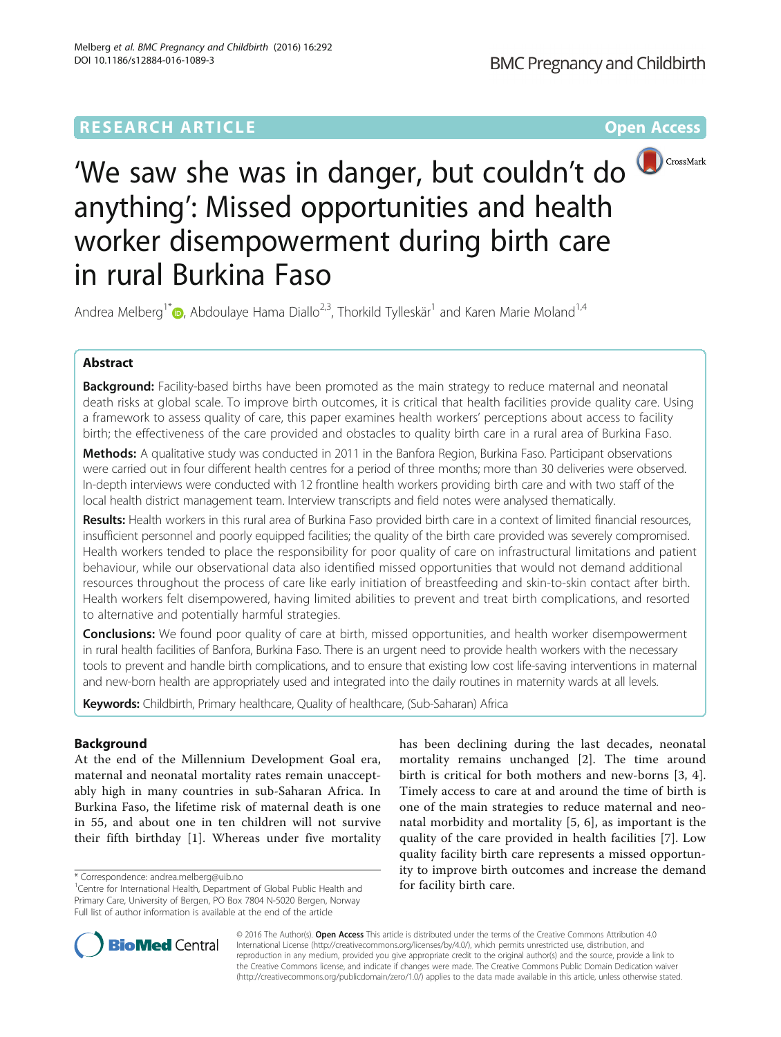# **RESEARCH ARTICLE External Structure Community Community Community Community Community Community Community Community**



'We saw she was in danger, but couldn't do anything': Missed opportunities and health worker disempowerment during birth care in rural Burkina Faso

Andrea Melberg<sup>1[\\*](http://orcid.org/0000-0002-0820-8813)</sup> <sub>(b)</sub>, Abdoulaye Hama Diallo<sup>2,3</sup>, Thorkild Tylleskär<sup>1</sup> and Karen Marie Moland<sup>1,4</sup>

## Abstract

Background: Facility-based births have been promoted as the main strategy to reduce maternal and neonatal death risks at global scale. To improve birth outcomes, it is critical that health facilities provide quality care. Using a framework to assess quality of care, this paper examines health workers' perceptions about access to facility birth; the effectiveness of the care provided and obstacles to quality birth care in a rural area of Burkina Faso.

Methods: A qualitative study was conducted in 2011 in the Banfora Region, Burkina Faso. Participant observations were carried out in four different health centres for a period of three months; more than 30 deliveries were observed. In-depth interviews were conducted with 12 frontline health workers providing birth care and with two staff of the local health district management team. Interview transcripts and field notes were analysed thematically.

Results: Health workers in this rural area of Burkina Faso provided birth care in a context of limited financial resources, insufficient personnel and poorly equipped facilities; the quality of the birth care provided was severely compromised. Health workers tended to place the responsibility for poor quality of care on infrastructural limitations and patient behaviour, while our observational data also identified missed opportunities that would not demand additional resources throughout the process of care like early initiation of breastfeeding and skin-to-skin contact after birth. Health workers felt disempowered, having limited abilities to prevent and treat birth complications, and resorted to alternative and potentially harmful strategies.

**Conclusions:** We found poor quality of care at birth, missed opportunities, and health worker disempowerment in rural health facilities of Banfora, Burkina Faso. There is an urgent need to provide health workers with the necessary tools to prevent and handle birth complications, and to ensure that existing low cost life-saving interventions in maternal and new-born health are appropriately used and integrated into the daily routines in maternity wards at all levels.

Keywords: Childbirth, Primary healthcare, Quality of healthcare, (Sub-Saharan) Africa

## Background

At the end of the Millennium Development Goal era, maternal and neonatal mortality rates remain unacceptably high in many countries in sub-Saharan Africa. In Burkina Faso, the lifetime risk of maternal death is one in 55, and about one in ten children will not survive their fifth birthday [\[1](#page-9-0)]. Whereas under five mortality

has been declining during the last decades, neonatal mortality remains unchanged [[2\]](#page-9-0). The time around birth is critical for both mothers and new-borns [\[3](#page-9-0), [4](#page-9-0)]. Timely access to care at and around the time of birth is one of the main strategies to reduce maternal and neonatal morbidity and mortality [\[5](#page-9-0), [6\]](#page-9-0), as important is the quality of the care provided in health facilities [[7\]](#page-9-0). Low quality facility birth care represents a missed opportunity to improve birth outcomes and increase the demand



© 2016 The Author(s). Open Access This article is distributed under the terms of the Creative Commons Attribution 4.0 International License [\(http://creativecommons.org/licenses/by/4.0/](http://creativecommons.org/licenses/by/4.0/)), which permits unrestricted use, distribution, and reproduction in any medium, provided you give appropriate credit to the original author(s) and the source, provide a link to the Creative Commons license, and indicate if changes were made. The Creative Commons Public Domain Dedication waiver [\(http://creativecommons.org/publicdomain/zero/1.0/](http://creativecommons.org/publicdomain/zero/1.0/)) applies to the data made available in this article, unless otherwise stated.

<sup>\*</sup> Correspondence: [andrea.melberg@uib.no](mailto:andrea.melberg@uib.no) <br><sup>1</sup>Centre for International Health, Department of Global Public Health and **100 for facility birth care.** Primary Care, University of Bergen, PO Box 7804 N-5020 Bergen, Norway Full list of author information is available at the end of the article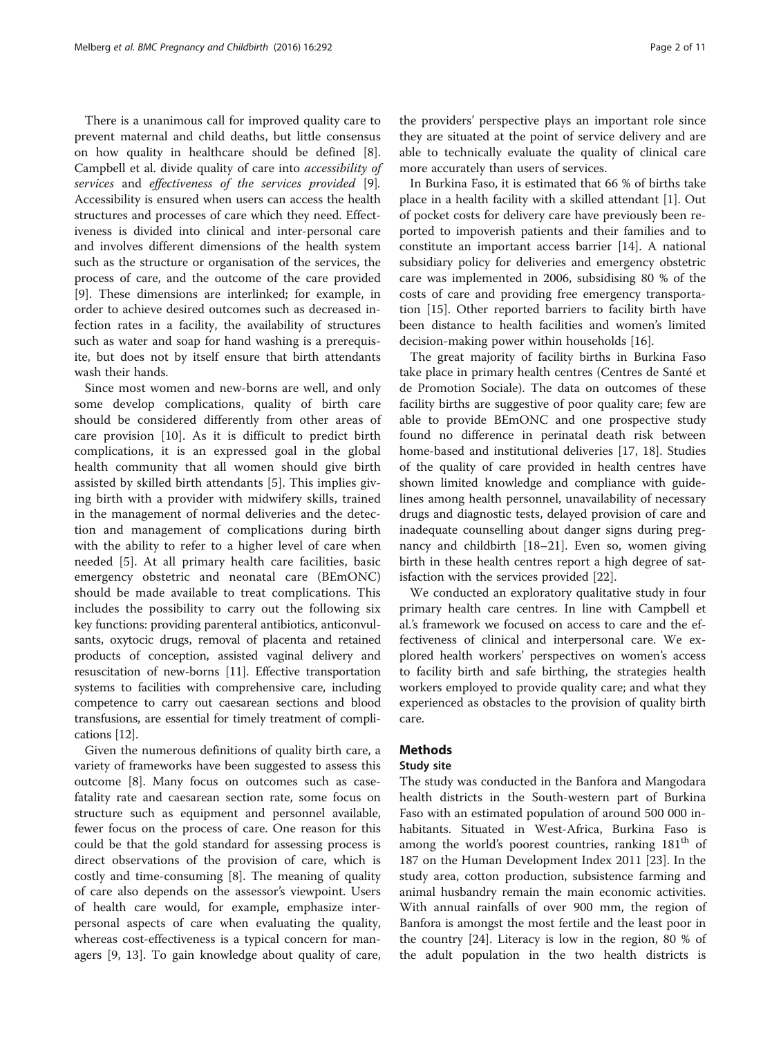There is a unanimous call for improved quality care to prevent maternal and child deaths, but little consensus on how quality in healthcare should be defined [\[8](#page-9-0)]. Campbell et al. divide quality of care into accessibility of services and effectiveness of the services provided [\[9](#page-9-0)]. Accessibility is ensured when users can access the health structures and processes of care which they need. Effectiveness is divided into clinical and inter-personal care and involves different dimensions of the health system such as the structure or organisation of the services, the process of care, and the outcome of the care provided [[9\]](#page-9-0). These dimensions are interlinked; for example, in order to achieve desired outcomes such as decreased infection rates in a facility, the availability of structures such as water and soap for hand washing is a prerequisite, but does not by itself ensure that birth attendants wash their hands.

Since most women and new-borns are well, and only some develop complications, quality of birth care should be considered differently from other areas of care provision [[10](#page-9-0)]. As it is difficult to predict birth complications, it is an expressed goal in the global health community that all women should give birth assisted by skilled birth attendants [\[5](#page-9-0)]. This implies giving birth with a provider with midwifery skills, trained in the management of normal deliveries and the detection and management of complications during birth with the ability to refer to a higher level of care when needed [\[5](#page-9-0)]. At all primary health care facilities, basic emergency obstetric and neonatal care (BEmONC) should be made available to treat complications. This includes the possibility to carry out the following six key functions: providing parenteral antibiotics, anticonvulsants, oxytocic drugs, removal of placenta and retained products of conception, assisted vaginal delivery and resuscitation of new-borns [\[11\]](#page-9-0). Effective transportation systems to facilities with comprehensive care, including competence to carry out caesarean sections and blood transfusions, are essential for timely treatment of complications [[12](#page-9-0)].

Given the numerous definitions of quality birth care, a variety of frameworks have been suggested to assess this outcome [[8\]](#page-9-0). Many focus on outcomes such as casefatality rate and caesarean section rate, some focus on structure such as equipment and personnel available, fewer focus on the process of care. One reason for this could be that the gold standard for assessing process is direct observations of the provision of care, which is costly and time-consuming [\[8](#page-9-0)]. The meaning of quality of care also depends on the assessor's viewpoint. Users of health care would, for example, emphasize interpersonal aspects of care when evaluating the quality, whereas cost-effectiveness is a typical concern for managers [[9, 13\]](#page-9-0). To gain knowledge about quality of care,

the providers' perspective plays an important role since they are situated at the point of service delivery and are able to technically evaluate the quality of clinical care more accurately than users of services.

In Burkina Faso, it is estimated that 66 % of births take place in a health facility with a skilled attendant [\[1\]](#page-9-0). Out of pocket costs for delivery care have previously been reported to impoverish patients and their families and to constitute an important access barrier [\[14](#page-9-0)]. A national subsidiary policy for deliveries and emergency obstetric care was implemented in 2006, subsidising 80 % of the costs of care and providing free emergency transportation [[15](#page-10-0)]. Other reported barriers to facility birth have been distance to health facilities and women's limited decision-making power within households [[16\]](#page-10-0).

The great majority of facility births in Burkina Faso take place in primary health centres (Centres de Santé et de Promotion Sociale). The data on outcomes of these facility births are suggestive of poor quality care; few are able to provide BEmONC and one prospective study found no difference in perinatal death risk between home-based and institutional deliveries [[17](#page-10-0), [18](#page-10-0)]. Studies of the quality of care provided in health centres have shown limited knowledge and compliance with guidelines among health personnel, unavailability of necessary drugs and diagnostic tests, delayed provision of care and inadequate counselling about danger signs during pregnancy and childbirth [\[18](#page-10-0)–[21\]](#page-10-0). Even so, women giving birth in these health centres report a high degree of satisfaction with the services provided [\[22](#page-10-0)].

We conducted an exploratory qualitative study in four primary health care centres. In line with Campbell et al.'s framework we focused on access to care and the effectiveness of clinical and interpersonal care. We explored health workers' perspectives on women's access to facility birth and safe birthing, the strategies health workers employed to provide quality care; and what they experienced as obstacles to the provision of quality birth care.

### **Methods**

#### Study site

The study was conducted in the Banfora and Mangodara health districts in the South-western part of Burkina Faso with an estimated population of around 500 000 inhabitants. Situated in West-Africa, Burkina Faso is among the world's poorest countries, ranking 181<sup>th</sup> of 187 on the Human Development Index 2011 [[23\]](#page-10-0). In the study area, cotton production, subsistence farming and animal husbandry remain the main economic activities. With annual rainfalls of over 900 mm, the region of Banfora is amongst the most fertile and the least poor in the country [\[24](#page-10-0)]. Literacy is low in the region, 80 % of the adult population in the two health districts is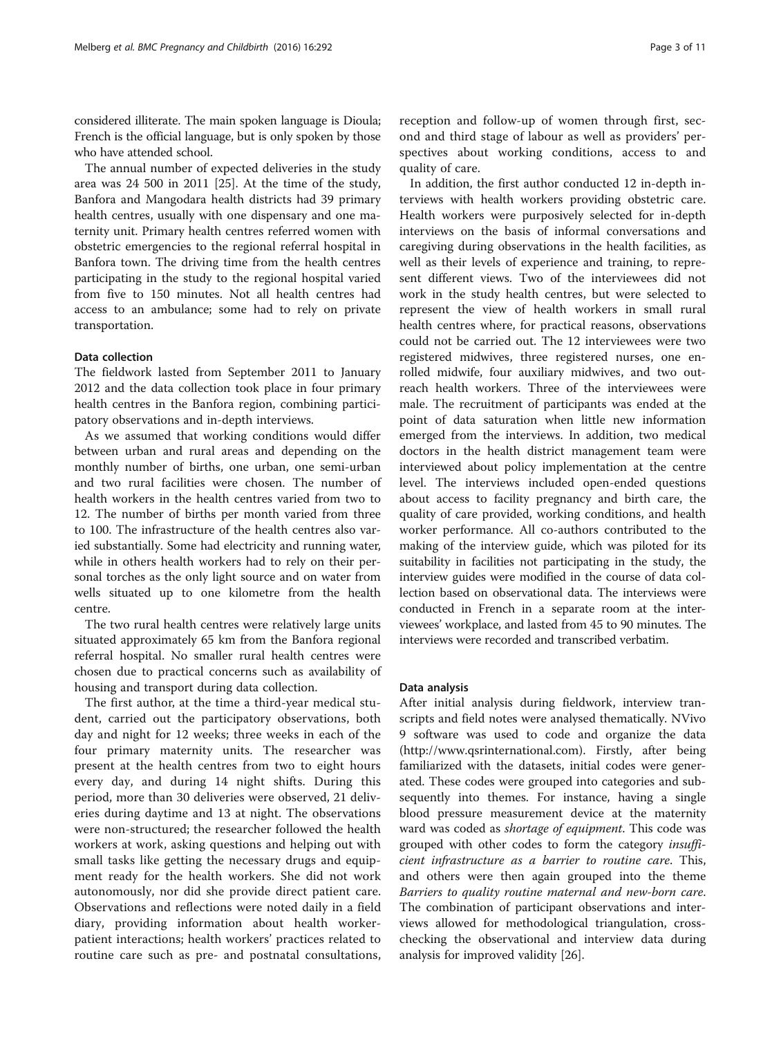considered illiterate. The main spoken language is Dioula; French is the official language, but is only spoken by those who have attended school.

The annual number of expected deliveries in the study area was 24 500 in 2011 [[25](#page-10-0)]. At the time of the study, Banfora and Mangodara health districts had 39 primary health centres, usually with one dispensary and one maternity unit. Primary health centres referred women with obstetric emergencies to the regional referral hospital in Banfora town. The driving time from the health centres participating in the study to the regional hospital varied from five to 150 minutes. Not all health centres had access to an ambulance; some had to rely on private transportation.

### Data collection

The fieldwork lasted from September 2011 to January 2012 and the data collection took place in four primary health centres in the Banfora region, combining participatory observations and in-depth interviews.

As we assumed that working conditions would differ between urban and rural areas and depending on the monthly number of births, one urban, one semi-urban and two rural facilities were chosen. The number of health workers in the health centres varied from two to 12. The number of births per month varied from three to 100. The infrastructure of the health centres also varied substantially. Some had electricity and running water, while in others health workers had to rely on their personal torches as the only light source and on water from wells situated up to one kilometre from the health centre.

The two rural health centres were relatively large units situated approximately 65 km from the Banfora regional referral hospital. No smaller rural health centres were chosen due to practical concerns such as availability of housing and transport during data collection.

The first author, at the time a third-year medical student, carried out the participatory observations, both day and night for 12 weeks; three weeks in each of the four primary maternity units. The researcher was present at the health centres from two to eight hours every day, and during 14 night shifts. During this period, more than 30 deliveries were observed, 21 deliveries during daytime and 13 at night. The observations were non-structured; the researcher followed the health workers at work, asking questions and helping out with small tasks like getting the necessary drugs and equipment ready for the health workers. She did not work autonomously, nor did she provide direct patient care. Observations and reflections were noted daily in a field diary, providing information about health workerpatient interactions; health workers' practices related to routine care such as pre- and postnatal consultations, reception and follow-up of women through first, second and third stage of labour as well as providers' perspectives about working conditions, access to and quality of care.

In addition, the first author conducted 12 in-depth interviews with health workers providing obstetric care. Health workers were purposively selected for in-depth interviews on the basis of informal conversations and caregiving during observations in the health facilities, as well as their levels of experience and training, to represent different views. Two of the interviewees did not work in the study health centres, but were selected to represent the view of health workers in small rural health centres where, for practical reasons, observations could not be carried out. The 12 interviewees were two registered midwives, three registered nurses, one enrolled midwife, four auxiliary midwives, and two outreach health workers. Three of the interviewees were male. The recruitment of participants was ended at the point of data saturation when little new information emerged from the interviews. In addition, two medical doctors in the health district management team were interviewed about policy implementation at the centre level. The interviews included open-ended questions about access to facility pregnancy and birth care, the quality of care provided, working conditions, and health worker performance. All co-authors contributed to the making of the interview guide, which was piloted for its suitability in facilities not participating in the study, the interview guides were modified in the course of data collection based on observational data. The interviews were conducted in French in a separate room at the interviewees' workplace, and lasted from 45 to 90 minutes. The interviews were recorded and transcribed verbatim.

#### Data analysis

After initial analysis during fieldwork, interview transcripts and field notes were analysed thematically. NVivo 9 software was used to code and organize the data ([http://www.qsrinternational.com\)](http://www.qsrinternational.com). Firstly, after being familiarized with the datasets, initial codes were generated. These codes were grouped into categories and subsequently into themes. For instance, having a single blood pressure measurement device at the maternity ward was coded as shortage of equipment. This code was grouped with other codes to form the category insufficient infrastructure as a barrier to routine care. This, and others were then again grouped into the theme Barriers to quality routine maternal and new-born care. The combination of participant observations and interviews allowed for methodological triangulation, crosschecking the observational and interview data during analysis for improved validity [[26\]](#page-10-0).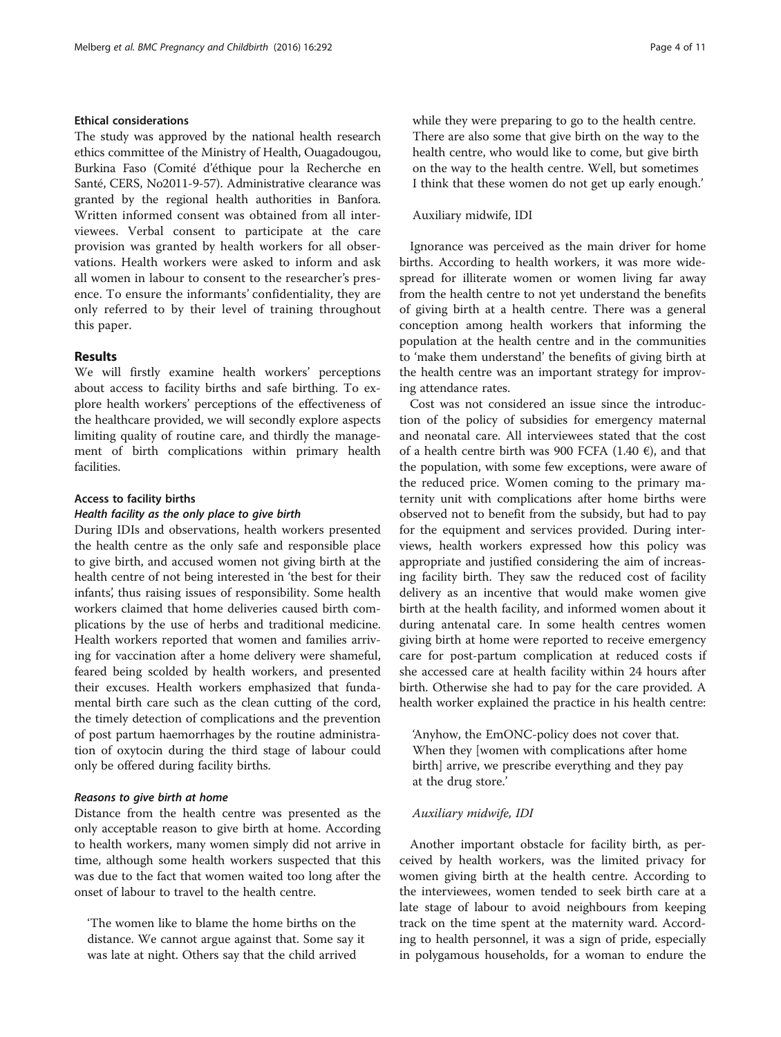### Ethical considerations

The study was approved by the national health research ethics committee of the Ministry of Health, Ouagadougou, Burkina Faso (Comité d'éthique pour la Recherche en Santé, CERS, No2011-9-57). Administrative clearance was granted by the regional health authorities in Banfora. Written informed consent was obtained from all interviewees. Verbal consent to participate at the care provision was granted by health workers for all observations. Health workers were asked to inform and ask all women in labour to consent to the researcher's presence. To ensure the informants' confidentiality, they are only referred to by their level of training throughout this paper.

#### Results

We will firstly examine health workers' perceptions about access to facility births and safe birthing. To explore health workers' perceptions of the effectiveness of the healthcare provided, we will secondly explore aspects limiting quality of routine care, and thirdly the management of birth complications within primary health facilities.

#### Access to facility births

#### Health facility as the only place to give birth

During IDIs and observations, health workers presented the health centre as the only safe and responsible place to give birth, and accused women not giving birth at the health centre of not being interested in 'the best for their infants', thus raising issues of responsibility. Some health workers claimed that home deliveries caused birth complications by the use of herbs and traditional medicine. Health workers reported that women and families arriving for vaccination after a home delivery were shameful, feared being scolded by health workers, and presented their excuses. Health workers emphasized that fundamental birth care such as the clean cutting of the cord, the timely detection of complications and the prevention of post partum haemorrhages by the routine administration of oxytocin during the third stage of labour could only be offered during facility births.

#### Reasons to give birth at home

Distance from the health centre was presented as the only acceptable reason to give birth at home. According to health workers, many women simply did not arrive in time, although some health workers suspected that this was due to the fact that women waited too long after the onset of labour to travel to the health centre.

'The women like to blame the home births on the distance. We cannot argue against that. Some say it was late at night. Others say that the child arrived

while they were preparing to go to the health centre. There are also some that give birth on the way to the health centre, who would like to come, but give birth on the way to the health centre. Well, but sometimes I think that these women do not get up early enough.'

#### Auxiliary midwife, IDI

Ignorance was perceived as the main driver for home births. According to health workers, it was more widespread for illiterate women or women living far away from the health centre to not yet understand the benefits of giving birth at a health centre. There was a general conception among health workers that informing the population at the health centre and in the communities to 'make them understand' the benefits of giving birth at the health centre was an important strategy for improving attendance rates.

Cost was not considered an issue since the introduction of the policy of subsidies for emergency maternal and neonatal care. All interviewees stated that the cost of a health centre birth was 900 FCFA (1.40  $\epsilon$ ), and that the population, with some few exceptions, were aware of the reduced price. Women coming to the primary maternity unit with complications after home births were observed not to benefit from the subsidy, but had to pay for the equipment and services provided. During interviews, health workers expressed how this policy was appropriate and justified considering the aim of increasing facility birth. They saw the reduced cost of facility delivery as an incentive that would make women give birth at the health facility, and informed women about it during antenatal care. In some health centres women giving birth at home were reported to receive emergency care for post-partum complication at reduced costs if she accessed care at health facility within 24 hours after birth. Otherwise she had to pay for the care provided. A health worker explained the practice in his health centre:

'Anyhow, the EmONC-policy does not cover that. When they [women with complications after home birth] arrive, we prescribe everything and they pay at the drug store.'

### Auxiliary midwife, IDI

Another important obstacle for facility birth, as perceived by health workers, was the limited privacy for women giving birth at the health centre. According to the interviewees, women tended to seek birth care at a late stage of labour to avoid neighbours from keeping track on the time spent at the maternity ward. According to health personnel, it was a sign of pride, especially in polygamous households, for a woman to endure the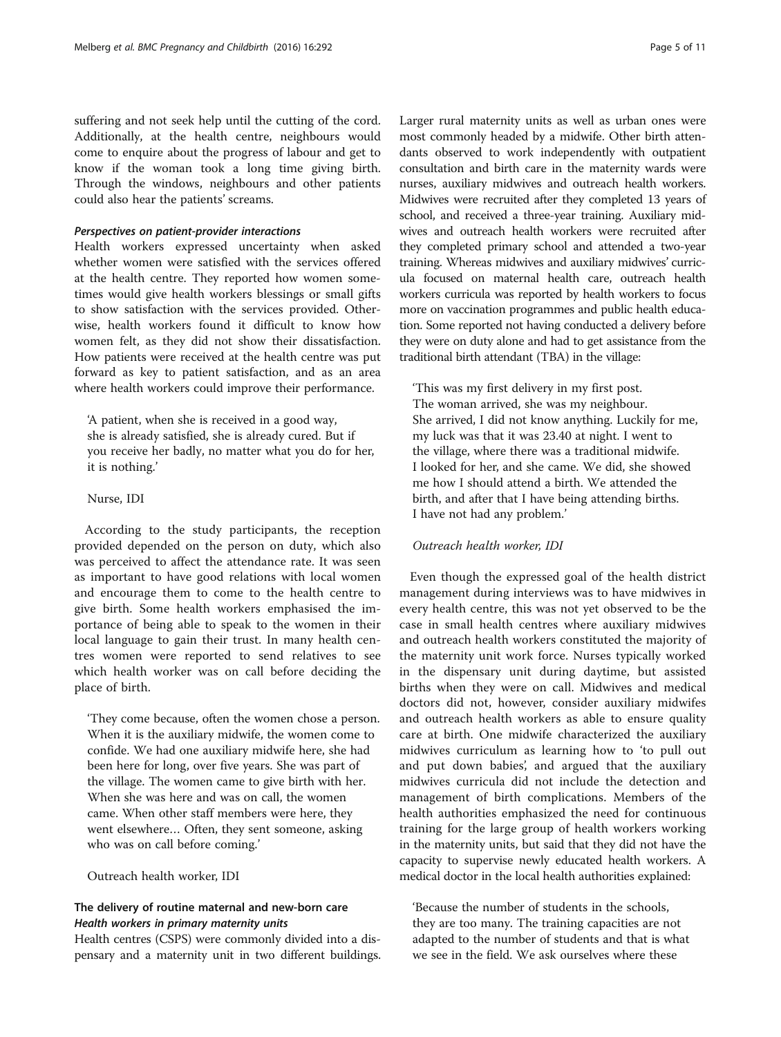suffering and not seek help until the cutting of the cord. Additionally, at the health centre, neighbours would come to enquire about the progress of labour and get to know if the woman took a long time giving birth. Through the windows, neighbours and other patients could also hear the patients' screams.

#### Perspectives on patient-provider interactions

Health workers expressed uncertainty when asked whether women were satisfied with the services offered at the health centre. They reported how women sometimes would give health workers blessings or small gifts to show satisfaction with the services provided. Otherwise, health workers found it difficult to know how women felt, as they did not show their dissatisfaction. How patients were received at the health centre was put forward as key to patient satisfaction, and as an area where health workers could improve their performance.

'A patient, when she is received in a good way, she is already satisfied, she is already cured. But if you receive her badly, no matter what you do for her, it is nothing.'

#### Nurse, IDI

According to the study participants, the reception provided depended on the person on duty, which also was perceived to affect the attendance rate. It was seen as important to have good relations with local women and encourage them to come to the health centre to give birth. Some health workers emphasised the importance of being able to speak to the women in their local language to gain their trust. In many health centres women were reported to send relatives to see which health worker was on call before deciding the place of birth.

'They come because, often the women chose a person. When it is the auxiliary midwife, the women come to confide. We had one auxiliary midwife here, she had been here for long, over five years. She was part of the village. The women came to give birth with her. When she was here and was on call, the women came. When other staff members were here, they went elsewhere… Often, they sent someone, asking who was on call before coming.'

Outreach health worker, IDI

### The delivery of routine maternal and new-born care Health workers in primary maternity units

Health centres (CSPS) were commonly divided into a dispensary and a maternity unit in two different buildings. Larger rural maternity units as well as urban ones were most commonly headed by a midwife. Other birth attendants observed to work independently with outpatient consultation and birth care in the maternity wards were nurses, auxiliary midwives and outreach health workers. Midwives were recruited after they completed 13 years of school, and received a three-year training. Auxiliary midwives and outreach health workers were recruited after they completed primary school and attended a two-year training. Whereas midwives and auxiliary midwives' curricula focused on maternal health care, outreach health workers curricula was reported by health workers to focus more on vaccination programmes and public health education. Some reported not having conducted a delivery before they were on duty alone and had to get assistance from the traditional birth attendant (TBA) in the village:

'This was my first delivery in my first post. The woman arrived, she was my neighbour. She arrived, I did not know anything. Luckily for me, my luck was that it was 23.40 at night. I went to the village, where there was a traditional midwife. I looked for her, and she came. We did, she showed me how I should attend a birth. We attended the birth, and after that I have being attending births. I have not had any problem.'

#### Outreach health worker, IDI

Even though the expressed goal of the health district management during interviews was to have midwives in every health centre, this was not yet observed to be the case in small health centres where auxiliary midwives and outreach health workers constituted the majority of the maternity unit work force. Nurses typically worked in the dispensary unit during daytime, but assisted births when they were on call. Midwives and medical doctors did not, however, consider auxiliary midwifes and outreach health workers as able to ensure quality care at birth. One midwife characterized the auxiliary midwives curriculum as learning how to 'to pull out and put down babies', and argued that the auxiliary midwives curricula did not include the detection and management of birth complications. Members of the health authorities emphasized the need for continuous training for the large group of health workers working in the maternity units, but said that they did not have the capacity to supervise newly educated health workers. A medical doctor in the local health authorities explained:

'Because the number of students in the schools, they are too many. The training capacities are not adapted to the number of students and that is what we see in the field. We ask ourselves where these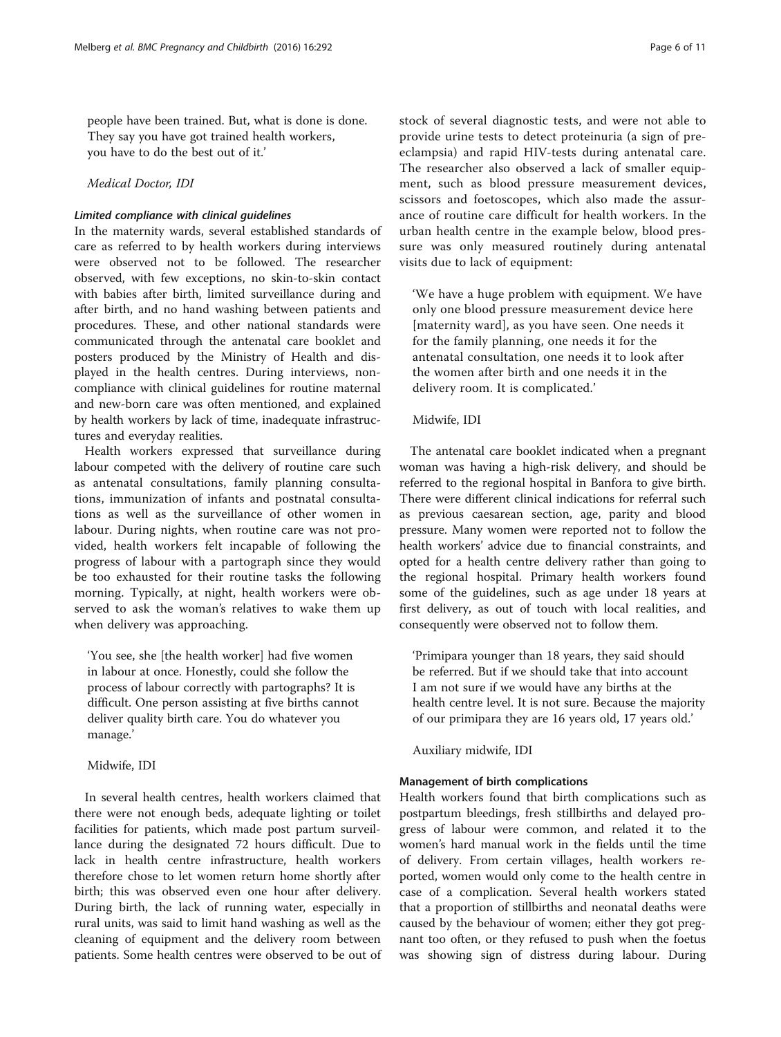people have been trained. But, what is done is done. They say you have got trained health workers, you have to do the best out of it.'

Medical Doctor, IDI

### Limited compliance with clinical guidelines

In the maternity wards, several established standards of care as referred to by health workers during interviews were observed not to be followed. The researcher observed, with few exceptions, no skin-to-skin contact with babies after birth, limited surveillance during and after birth, and no hand washing between patients and procedures. These, and other national standards were communicated through the antenatal care booklet and posters produced by the Ministry of Health and displayed in the health centres. During interviews, noncompliance with clinical guidelines for routine maternal and new-born care was often mentioned, and explained by health workers by lack of time, inadequate infrastructures and everyday realities.

Health workers expressed that surveillance during labour competed with the delivery of routine care such as antenatal consultations, family planning consultations, immunization of infants and postnatal consultations as well as the surveillance of other women in labour. During nights, when routine care was not provided, health workers felt incapable of following the progress of labour with a partograph since they would be too exhausted for their routine tasks the following morning. Typically, at night, health workers were observed to ask the woman's relatives to wake them up when delivery was approaching.

'You see, she [the health worker] had five women in labour at once. Honestly, could she follow the process of labour correctly with partographs? It is difficult. One person assisting at five births cannot deliver quality birth care. You do whatever you manage.'

### Midwife, IDI

In several health centres, health workers claimed that there were not enough beds, adequate lighting or toilet facilities for patients, which made post partum surveillance during the designated 72 hours difficult. Due to lack in health centre infrastructure, health workers therefore chose to let women return home shortly after birth; this was observed even one hour after delivery. During birth, the lack of running water, especially in rural units, was said to limit hand washing as well as the cleaning of equipment and the delivery room between patients. Some health centres were observed to be out of stock of several diagnostic tests, and were not able to provide urine tests to detect proteinuria (a sign of preeclampsia) and rapid HIV-tests during antenatal care. The researcher also observed a lack of smaller equipment, such as blood pressure measurement devices, scissors and foetoscopes, which also made the assurance of routine care difficult for health workers. In the urban health centre in the example below, blood pressure was only measured routinely during antenatal visits due to lack of equipment:

'We have a huge problem with equipment. We have only one blood pressure measurement device here [maternity ward], as you have seen. One needs it for the family planning, one needs it for the antenatal consultation, one needs it to look after the women after birth and one needs it in the delivery room. It is complicated.'

#### Midwife, IDI

The antenatal care booklet indicated when a pregnant woman was having a high-risk delivery, and should be referred to the regional hospital in Banfora to give birth. There were different clinical indications for referral such as previous caesarean section, age, parity and blood pressure. Many women were reported not to follow the health workers' advice due to financial constraints, and opted for a health centre delivery rather than going to the regional hospital. Primary health workers found some of the guidelines, such as age under 18 years at first delivery, as out of touch with local realities, and consequently were observed not to follow them.

'Primipara younger than 18 years, they said should be referred. But if we should take that into account I am not sure if we would have any births at the health centre level. It is not sure. Because the majority of our primipara they are 16 years old, 17 years old.'

Auxiliary midwife, IDI

## Management of birth complications

Health workers found that birth complications such as postpartum bleedings, fresh stillbirths and delayed progress of labour were common, and related it to the women's hard manual work in the fields until the time of delivery. From certain villages, health workers reported, women would only come to the health centre in case of a complication. Several health workers stated that a proportion of stillbirths and neonatal deaths were caused by the behaviour of women; either they got pregnant too often, or they refused to push when the foetus was showing sign of distress during labour. During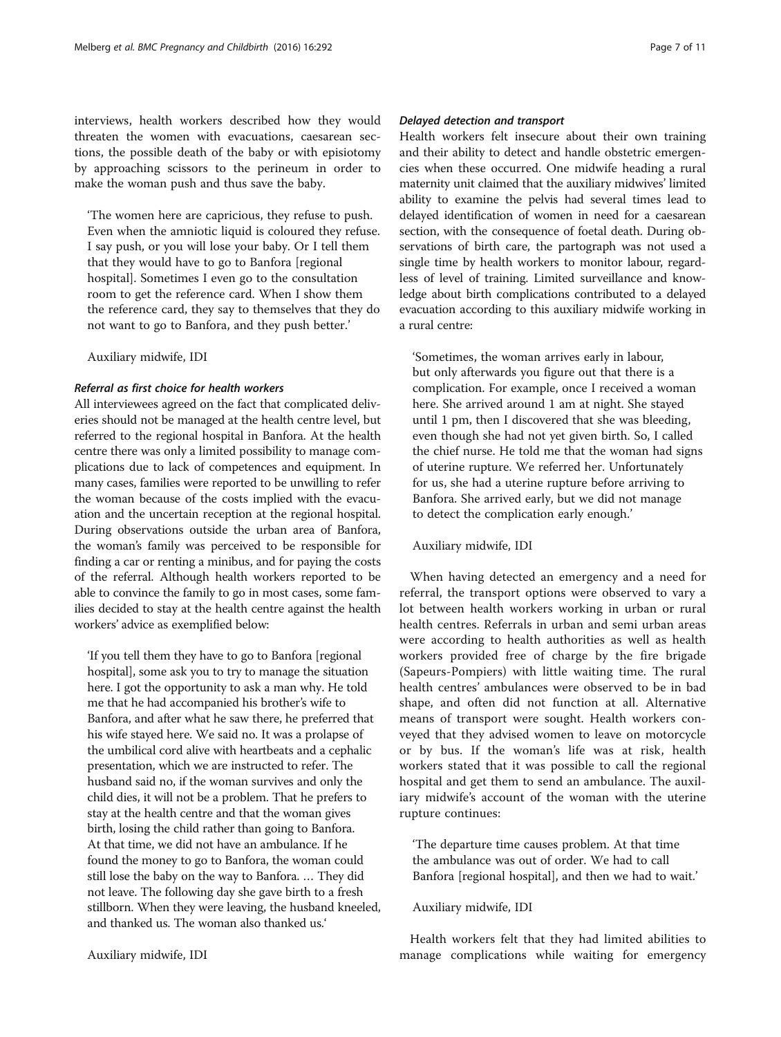interviews, health workers described how they would threaten the women with evacuations, caesarean sections, the possible death of the baby or with episiotomy by approaching scissors to the perineum in order to make the woman push and thus save the baby.

'The women here are capricious, they refuse to push. Even when the amniotic liquid is coloured they refuse. I say push, or you will lose your baby. Or I tell them that they would have to go to Banfora [regional hospital]. Sometimes I even go to the consultation room to get the reference card. When I show them the reference card, they say to themselves that they do not want to go to Banfora, and they push better.'

Auxiliary midwife, IDI

### Referral as first choice for health workers

All interviewees agreed on the fact that complicated deliveries should not be managed at the health centre level, but referred to the regional hospital in Banfora. At the health centre there was only a limited possibility to manage complications due to lack of competences and equipment. In many cases, families were reported to be unwilling to refer the woman because of the costs implied with the evacuation and the uncertain reception at the regional hospital. During observations outside the urban area of Banfora, the woman's family was perceived to be responsible for finding a car or renting a minibus, and for paying the costs of the referral. Although health workers reported to be able to convince the family to go in most cases, some families decided to stay at the health centre against the health workers' advice as exemplified below:

'If you tell them they have to go to Banfora [regional hospital], some ask you to try to manage the situation here. I got the opportunity to ask a man why. He told me that he had accompanied his brother's wife to Banfora, and after what he saw there, he preferred that his wife stayed here. We said no. It was a prolapse of the umbilical cord alive with heartbeats and a cephalic presentation, which we are instructed to refer. The husband said no, if the woman survives and only the child dies, it will not be a problem. That he prefers to stay at the health centre and that the woman gives birth, losing the child rather than going to Banfora. At that time, we did not have an ambulance. If he found the money to go to Banfora, the woman could still lose the baby on the way to Banfora. … They did not leave. The following day she gave birth to a fresh stillborn. When they were leaving, the husband kneeled, and thanked us. The woman also thanked us.'

### Delayed detection and transport

Health workers felt insecure about their own training and their ability to detect and handle obstetric emergencies when these occurred. One midwife heading a rural maternity unit claimed that the auxiliary midwives' limited ability to examine the pelvis had several times lead to delayed identification of women in need for a caesarean section, with the consequence of foetal death. During observations of birth care, the partograph was not used a single time by health workers to monitor labour, regardless of level of training. Limited surveillance and knowledge about birth complications contributed to a delayed evacuation according to this auxiliary midwife working in a rural centre:

'Sometimes, the woman arrives early in labour, but only afterwards you figure out that there is a complication. For example, once I received a woman here. She arrived around 1 am at night. She stayed until 1 pm, then I discovered that she was bleeding, even though she had not yet given birth. So, I called the chief nurse. He told me that the woman had signs of uterine rupture. We referred her. Unfortunately for us, she had a uterine rupture before arriving to Banfora. She arrived early, but we did not manage to detect the complication early enough.'

### Auxiliary midwife, IDI

When having detected an emergency and a need for referral, the transport options were observed to vary a lot between health workers working in urban or rural health centres. Referrals in urban and semi urban areas were according to health authorities as well as health workers provided free of charge by the fire brigade (Sapeurs-Pompiers) with little waiting time. The rural health centres' ambulances were observed to be in bad shape, and often did not function at all. Alternative means of transport were sought. Health workers conveyed that they advised women to leave on motorcycle or by bus. If the woman's life was at risk, health workers stated that it was possible to call the regional hospital and get them to send an ambulance. The auxiliary midwife's account of the woman with the uterine rupture continues:

'The departure time causes problem. At that time the ambulance was out of order. We had to call Banfora [regional hospital], and then we had to wait.'

### Auxiliary midwife, IDI

Health workers felt that they had limited abilities to manage complications while waiting for emergency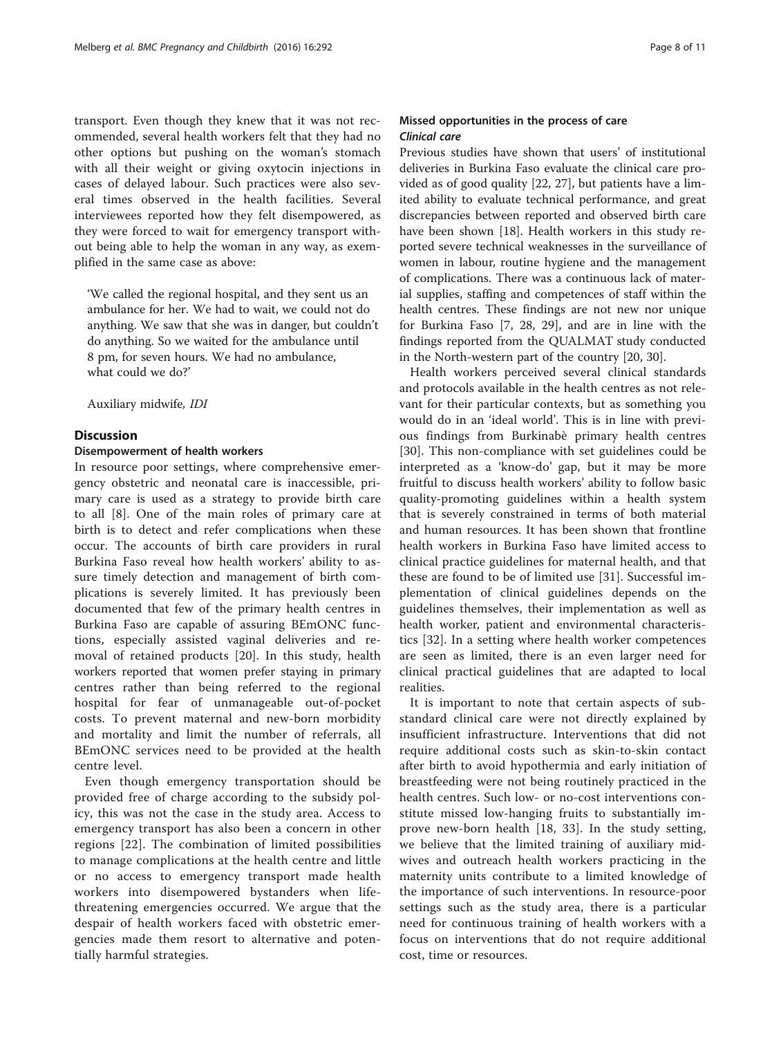transport. Even though they knew that it was not recommended, several health workers felt that they had no other options but pushing on the woman's stomach with all their weight or giving oxytocin injections in cases of delayed labour. Such practices were also several times observed in the health facilities. Several interviewees reported how they felt disempowered, as they were forced to wait for emergency transport without being able to help the woman in any way, as exemplified in the same case as above:

'We called the regional hospital, and they sent us an ambulance for her. We had to wait, we could not do anything. We saw that she was in danger, but couldn't do anything. So we waited for the ambulance until 8 pm, for seven hours. We had no ambulance, what could we do?'

Auxiliary midwife, IDI

### **Discussion**

#### Disempowerment of health workers

In resource poor settings, where comprehensive emergency obstetric and neonatal care is inaccessible, primary care is used as a strategy to provide birth care to all [\[8](#page-9-0)]. One of the main roles of primary care at birth is to detect and refer complications when these occur. The accounts of birth care providers in rural Burkina Faso reveal how health workers' ability to assure timely detection and management of birth complications is severely limited. It has previously been documented that few of the primary health centres in Burkina Faso are capable of assuring BEmONC functions, especially assisted vaginal deliveries and removal of retained products [\[20](#page-10-0)]. In this study, health workers reported that women prefer staying in primary centres rather than being referred to the regional hospital for fear of unmanageable out-of-pocket costs. To prevent maternal and new-born morbidity and mortality and limit the number of referrals, all BEmONC services need to be provided at the health centre level.

Even though emergency transportation should be provided free of charge according to the subsidy policy, this was not the case in the study area. Access to emergency transport has also been a concern in other regions [\[22\]](#page-10-0). The combination of limited possibilities to manage complications at the health centre and little or no access to emergency transport made health workers into disempowered bystanders when lifethreatening emergencies occurred. We argue that the despair of health workers faced with obstetric emergencies made them resort to alternative and potentially harmful strategies.

### Missed opportunities in the process of care Clinical care

Previous studies have shown that users' of institutional deliveries in Burkina Faso evaluate the clinical care provided as of good quality [\[22](#page-10-0), [27](#page-10-0)], but patients have a limited ability to evaluate technical performance, and great discrepancies between reported and observed birth care have been shown [[18\]](#page-10-0). Health workers in this study reported severe technical weaknesses in the surveillance of women in labour, routine hygiene and the management of complications. There was a continuous lack of material supplies, staffing and competences of staff within the health centres. These findings are not new nor unique for Burkina Faso [\[7](#page-9-0), [28](#page-10-0), [29](#page-10-0)], and are in line with the findings reported from the QUALMAT study conducted in the North-western part of the country [\[20](#page-10-0), [30\]](#page-10-0).

Health workers perceived several clinical standards and protocols available in the health centres as not relevant for their particular contexts, but as something you would do in an 'ideal world'. This is in line with previous findings from Burkinabè primary health centres [[30\]](#page-10-0). This non-compliance with set guidelines could be interpreted as a 'know-do' gap, but it may be more fruitful to discuss health workers' ability to follow basic quality-promoting guidelines within a health system that is severely constrained in terms of both material and human resources. It has been shown that frontline health workers in Burkina Faso have limited access to clinical practice guidelines for maternal health, and that these are found to be of limited use [[31\]](#page-10-0). Successful implementation of clinical guidelines depends on the guidelines themselves, their implementation as well as health worker, patient and environmental characteristics [\[32](#page-10-0)]. In a setting where health worker competences are seen as limited, there is an even larger need for clinical practical guidelines that are adapted to local realities.

It is important to note that certain aspects of substandard clinical care were not directly explained by insufficient infrastructure. Interventions that did not require additional costs such as skin-to-skin contact after birth to avoid hypothermia and early initiation of breastfeeding were not being routinely practiced in the health centres. Such low- or no-cost interventions constitute missed low-hanging fruits to substantially improve new-born health [[18](#page-10-0), [33](#page-10-0)]. In the study setting, we believe that the limited training of auxiliary midwives and outreach health workers practicing in the maternity units contribute to a limited knowledge of the importance of such interventions. In resource-poor settings such as the study area, there is a particular need for continuous training of health workers with a focus on interventions that do not require additional cost, time or resources.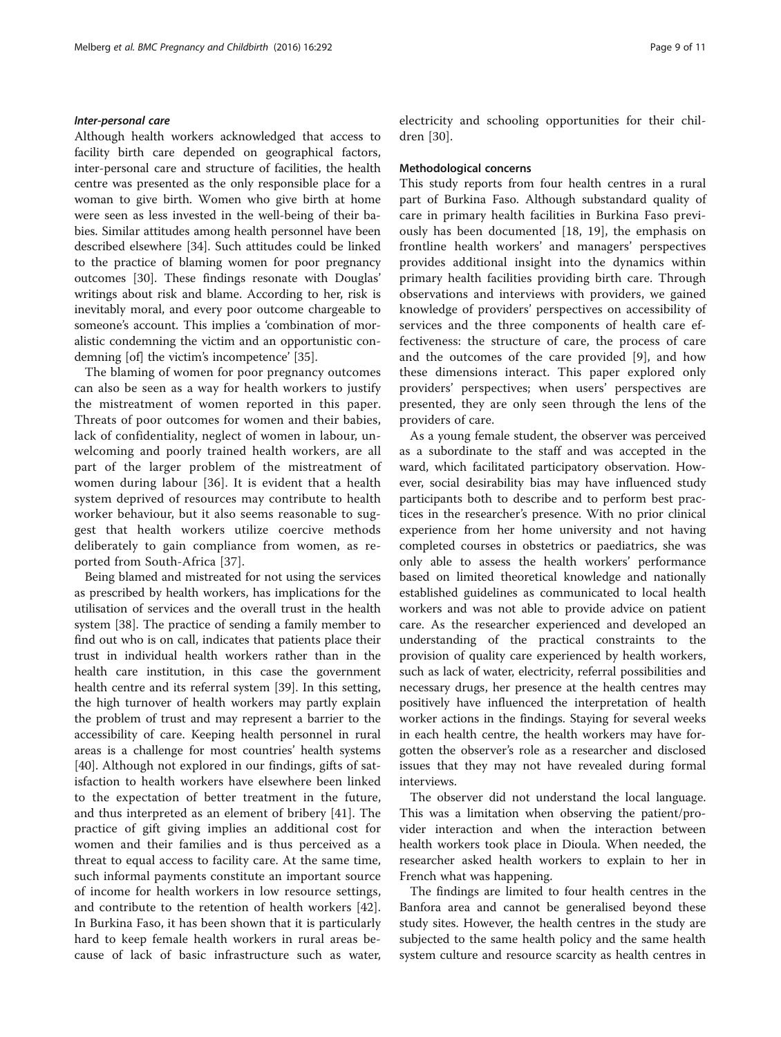#### Inter-personal care

Although health workers acknowledged that access to facility birth care depended on geographical factors, inter-personal care and structure of facilities, the health centre was presented as the only responsible place for a woman to give birth. Women who give birth at home were seen as less invested in the well-being of their babies. Similar attitudes among health personnel have been described elsewhere [\[34](#page-10-0)]. Such attitudes could be linked to the practice of blaming women for poor pregnancy outcomes [[30](#page-10-0)]. These findings resonate with Douglas' writings about risk and blame. According to her, risk is inevitably moral, and every poor outcome chargeable to someone's account. This implies a 'combination of moralistic condemning the victim and an opportunistic condemning [of] the victim's incompetence' [\[35](#page-10-0)].

The blaming of women for poor pregnancy outcomes can also be seen as a way for health workers to justify the mistreatment of women reported in this paper. Threats of poor outcomes for women and their babies, lack of confidentiality, neglect of women in labour, unwelcoming and poorly trained health workers, are all part of the larger problem of the mistreatment of women during labour [\[36](#page-10-0)]. It is evident that a health system deprived of resources may contribute to health worker behaviour, but it also seems reasonable to suggest that health workers utilize coercive methods deliberately to gain compliance from women, as reported from South-Africa [[37](#page-10-0)].

Being blamed and mistreated for not using the services as prescribed by health workers, has implications for the utilisation of services and the overall trust in the health system [[38\]](#page-10-0). The practice of sending a family member to find out who is on call, indicates that patients place their trust in individual health workers rather than in the health care institution, in this case the government health centre and its referral system [\[39](#page-10-0)]. In this setting, the high turnover of health workers may partly explain the problem of trust and may represent a barrier to the accessibility of care. Keeping health personnel in rural areas is a challenge for most countries' health systems [[40\]](#page-10-0). Although not explored in our findings, gifts of satisfaction to health workers have elsewhere been linked to the expectation of better treatment in the future, and thus interpreted as an element of bribery [\[41](#page-10-0)]. The practice of gift giving implies an additional cost for women and their families and is thus perceived as a threat to equal access to facility care. At the same time, such informal payments constitute an important source of income for health workers in low resource settings, and contribute to the retention of health workers [[42](#page-10-0)]. In Burkina Faso, it has been shown that it is particularly hard to keep female health workers in rural areas because of lack of basic infrastructure such as water, electricity and schooling opportunities for their children [[30](#page-10-0)].

#### Methodological concerns

This study reports from four health centres in a rural part of Burkina Faso. Although substandard quality of care in primary health facilities in Burkina Faso previously has been documented [[18, 19](#page-10-0)], the emphasis on frontline health workers' and managers' perspectives provides additional insight into the dynamics within primary health facilities providing birth care. Through observations and interviews with providers, we gained knowledge of providers' perspectives on accessibility of services and the three components of health care effectiveness: the structure of care, the process of care and the outcomes of the care provided [[9\]](#page-9-0), and how these dimensions interact. This paper explored only providers' perspectives; when users' perspectives are presented, they are only seen through the lens of the providers of care.

As a young female student, the observer was perceived as a subordinate to the staff and was accepted in the ward, which facilitated participatory observation. However, social desirability bias may have influenced study participants both to describe and to perform best practices in the researcher's presence. With no prior clinical experience from her home university and not having completed courses in obstetrics or paediatrics, she was only able to assess the health workers' performance based on limited theoretical knowledge and nationally established guidelines as communicated to local health workers and was not able to provide advice on patient care. As the researcher experienced and developed an understanding of the practical constraints to the provision of quality care experienced by health workers, such as lack of water, electricity, referral possibilities and necessary drugs, her presence at the health centres may positively have influenced the interpretation of health worker actions in the findings. Staying for several weeks in each health centre, the health workers may have forgotten the observer's role as a researcher and disclosed issues that they may not have revealed during formal interviews.

The observer did not understand the local language. This was a limitation when observing the patient/provider interaction and when the interaction between health workers took place in Dioula. When needed, the researcher asked health workers to explain to her in French what was happening.

The findings are limited to four health centres in the Banfora area and cannot be generalised beyond these study sites. However, the health centres in the study are subjected to the same health policy and the same health system culture and resource scarcity as health centres in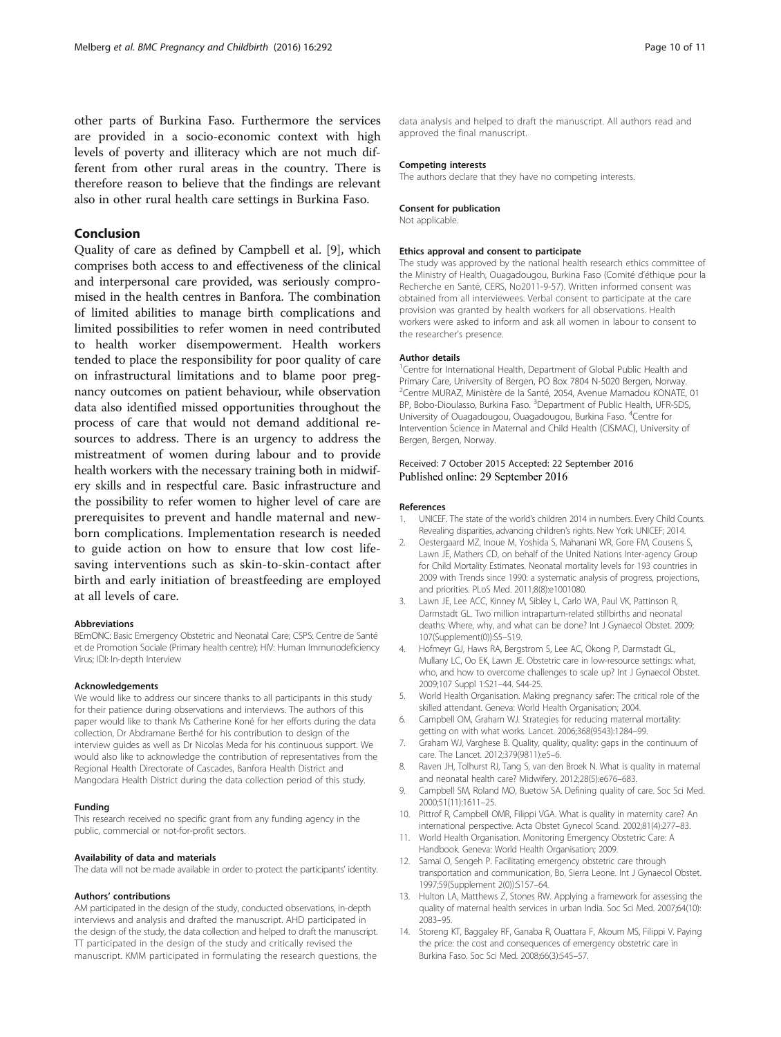<span id="page-9-0"></span>other parts of Burkina Faso. Furthermore the services are provided in a socio-economic context with high levels of poverty and illiteracy which are not much different from other rural areas in the country. There is therefore reason to believe that the findings are relevant also in other rural health care settings in Burkina Faso.

### Conclusion

Quality of care as defined by Campbell et al. [9], which comprises both access to and effectiveness of the clinical and interpersonal care provided, was seriously compromised in the health centres in Banfora. The combination of limited abilities to manage birth complications and limited possibilities to refer women in need contributed to health worker disempowerment. Health workers tended to place the responsibility for poor quality of care on infrastructural limitations and to blame poor pregnancy outcomes on patient behaviour, while observation data also identified missed opportunities throughout the process of care that would not demand additional resources to address. There is an urgency to address the mistreatment of women during labour and to provide health workers with the necessary training both in midwifery skills and in respectful care. Basic infrastructure and the possibility to refer women to higher level of care are prerequisites to prevent and handle maternal and newborn complications. Implementation research is needed to guide action on how to ensure that low cost lifesaving interventions such as skin-to-skin-contact after birth and early initiation of breastfeeding are employed at all levels of care.

#### Abbreviations

BEmONC: Basic Emergency Obstetric and Neonatal Care; CSPS: Centre de Santé et de Promotion Sociale (Primary health centre); HIV: Human Immunodeficiency Virus; IDI: In-depth Interview

#### Acknowledgements

We would like to address our sincere thanks to all participants in this study for their patience during observations and interviews. The authors of this paper would like to thank Ms Catherine Koné for her efforts during the data collection, Dr Abdramane Berthé for his contribution to design of the interview guides as well as Dr Nicolas Meda for his continuous support. We would also like to acknowledge the contribution of representatives from the Regional Health Directorate of Cascades, Banfora Health District and Mangodara Health District during the data collection period of this study.

#### Funding

This research received no specific grant from any funding agency in the public, commercial or not-for-profit sectors.

#### Availability of data and materials

The data will not be made available in order to protect the participants' identity.

#### Authors' contributions

AM participated in the design of the study, conducted observations, in-depth interviews and analysis and drafted the manuscript. AHD participated in the design of the study, the data collection and helped to draft the manuscript. TT participated in the design of the study and critically revised the manuscript. KMM participated in formulating the research questions, the data analysis and helped to draft the manuscript. All authors read and approved the final manuscript.

#### Competing interests

The authors declare that they have no competing interests.

#### Consent for publication

Not applicable.

#### Ethics approval and consent to participate

The study was approved by the national health research ethics committee of the Ministry of Health, Ouagadougou, Burkina Faso (Comité d'éthique pour la Recherche en Santé, CERS, No2011-9-57). Written informed consent was obtained from all interviewees. Verbal consent to participate at the care provision was granted by health workers for all observations. Health workers were asked to inform and ask all women in labour to consent to the researcher's presence.

#### Author details

<sup>1</sup> Centre for International Health, Department of Global Public Health and Primary Care, University of Bergen, PO Box 7804 N-5020 Bergen, Norway. 2 Centre MURAZ, Ministère de la Santé, 2054, Avenue Mamadou KONATE, 01 BP, Bobo-Dioulasso, Burkina Faso. <sup>3</sup>Department of Public Health, UFR-SDS University of Ouagadougou, Ouagadougou, Burkina Faso. <sup>4</sup>Centre for Intervention Science in Maternal and Child Health (CISMAC), University of Bergen, Bergen, Norway.

#### Received: 7 October 2015 Accepted: 22 September 2016 Published online: 29 September 2016

#### References

- 1. UNICEF. The state of the world's children 2014 in numbers. Every Child Counts. Revealing disparities, advancing children's rights. New York: UNICEF; 2014.
- 2. Oestergaard MZ, Inoue M, Yoshida S, Mahanani WR, Gore FM, Cousens S, Lawn JE, Mathers CD, on behalf of the United Nations Inter-agency Group for Child Mortality Estimates. Neonatal mortality levels for 193 countries in 2009 with Trends since 1990: a systematic analysis of progress, projections, and priorities. PLoS Med. 2011;8(8):e1001080.
- Lawn JE, Lee ACC, Kinney M, Sibley L, Carlo WA, Paul VK, Pattinson R, Darmstadt GL. Two million intrapartum-related stillbirths and neonatal deaths: Where, why, and what can be done? Int J Gynaecol Obstet. 2009; 107(Supplement(0)):S5–S19.
- 4. Hofmeyr GJ, Haws RA, Bergstrom S, Lee AC, Okong P, Darmstadt GL, Mullany LC, Oo EK, Lawn JE. Obstetric care in low-resource settings: what, who, and how to overcome challenges to scale up? Int J Gynaecol Obstet. 2009;107 Suppl 1:S21–44. S44-25.
- 5. World Health Organisation. Making pregnancy safer: The critical role of the skilled attendant. Geneva: World Health Organisation; 2004.
- 6. Campbell OM, Graham WJ. Strategies for reducing maternal mortality: getting on with what works. Lancet. 2006;368(9543):1284–99.
- 7. Graham WJ, Varghese B. Quality, quality, quality: gaps in the continuum of care. The Lancet. 2012;379(9811):e5–6.
- 8. Raven JH, Tolhurst RJ, Tang S, van den Broek N. What is quality in maternal and neonatal health care? Midwifery. 2012;28(5):e676–683.
- 9. Campbell SM, Roland MO, Buetow SA. Defining quality of care. Soc Sci Med. 2000;51(11):1611–25.
- 10. Pittrof R, Campbell OMR, Filippi VGA. What is quality in maternity care? An international perspective. Acta Obstet Gynecol Scand. 2002;81(4):277–83.
- 11. World Health Organisation. Monitoring Emergency Obstetric Care: A Handbook. Geneva: World Health Organisation; 2009.
- 12. Samai O, Sengeh P. Facilitating emergency obstetric care through transportation and communication, Bo, Sierra Leone. Int J Gynaecol Obstet. 1997;59(Supplement 2(0)):S157–64.
- 13. Hulton LA, Matthews Z, Stones RW. Applying a framework for assessing the quality of maternal health services in urban India. Soc Sci Med. 2007;64(10): 2083–95.
- 14. Storeng KT, Baggaley RF, Ganaba R, Ouattara F, Akoum MS, Filippi V. Paying the price: the cost and consequences of emergency obstetric care in Burkina Faso. Soc Sci Med. 2008;66(3):545–57.